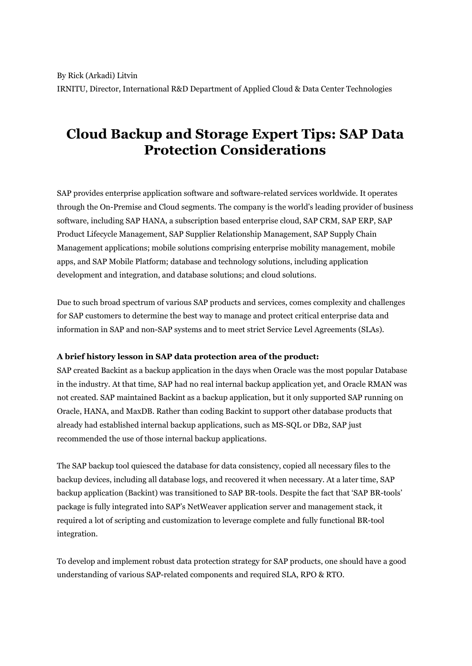# **Cloud Backup and Storage Expert Tips: SAP Data Protection Considerations**

SAP provides enterprise application software and software-related services worldwide. It operates through the On-Premise and Cloud segments. The company is the world's leading provider of business software, including SAP HANA, a subscription based enterprise cloud, SAP CRM, SAP ERP, SAP Product Lifecycle Management, SAP Supplier Relationship Management, SAP Supply Chain Management applications; mobile solutions comprising enterprise mobility management, mobile apps, and SAP Mobile Platform; database and technology solutions, including application development and integration, and database solutions; and cloud solutions.

Due to such broad spectrum of various SAP products and services, comes complexity and challenges for SAP customers to determine the best way to manage and protect critical enterprise data and information in SAP and non-SAP systems and to meet strict Service Level Agreements (SLAs).

## **A brief history lesson in SAP data protection area of the product:**

SAP created Backint as a backup application in the days when Oracle was the most popular Database in the industry. At that time, SAP had no real internal backup application yet, and Oracle RMAN was not created. SAP maintained Backint as a backup application, but it only supported SAP running on Oracle, HANA, and MaxDB. Rather than coding Backint to support other database products that already had established internal backup applications, such as MS-SQL or DB2, SAP just recommended the use of those internal backup applications.

The SAP backup tool quiesced the database for data consistency, copied all necessary files to the backup devices, including all database logs, and recovered it when necessary. At a later time, SAP backup application (Backint) was transitioned to SAP BR-tools. Despite the fact that 'SAP BR-tools' package is fully integrated into SAP's NetWeaver application server and management stack, it required a lot of scripting and customization to leverage complete and fully functional BR-tool integration.

To develop and implement robust data protection strategy for SAP products, one should have a good understanding of various SAP-related components and required SLA, RPO & RTO.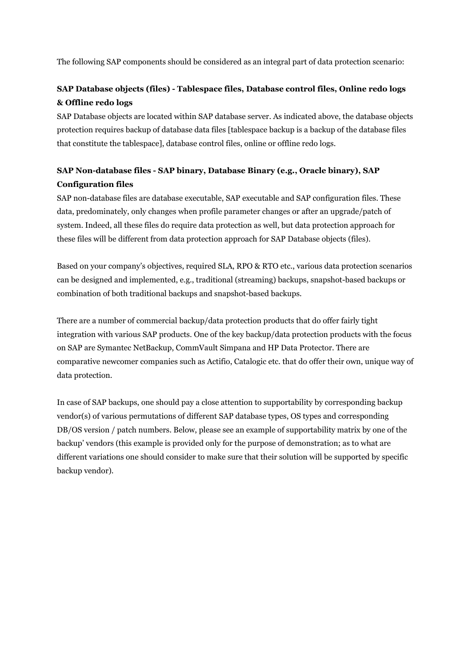The following SAP components should be considered as an integral part of data protection scenario:

# **SAP Database objects (files) - Tablespace files, Database control files, Online redo logs & Offline redo logs**

SAP Database objects are located within SAP database server. As indicated above, the database objects protection requires backup of database data files [tablespace backup is a backup of the database files that constitute the tablespace], database control files, online or offline redo logs.

## **SAP Non-database files - SAP binary, Database Binary (e.g., Oracle binary), SAP Configuration files**

SAP non-database files are database executable, SAP executable and SAP configuration files. These data, predominately, only changes when profile parameter changes or after an upgrade/patch of system. Indeed, all these files do require data protection as well, but data protection approach for these files will be different from data protection approach for SAP Database objects (files).

Based on your company's objectives, required SLA, RPO & RTO etc., various data protection scenarios can be designed and implemented, e.g., traditional (streaming) backups, snapshot-based backups or combination of both traditional backups and snapshot-based backups.

There are a number of commercial backup/data protection products that do offer fairly tight integration with various SAP products. One of the key backup/data protection products with the focus on SAP are Symantec NetBackup, CommVault Simpana and HP Data Protector. There are comparative newcomer companies such as Actifio, Catalogic etc. that do offer their own, unique way of data protection.

In case of SAP backups, one should pay a close attention to supportability by corresponding backup vendor(s) of various permutations of different SAP database types, OS types and corresponding DB/OS version / patch numbers. Below, please see an example of supportability matrix by one of the backup' vendors (this example is provided only for the purpose of demonstration; as to what are different variations one should consider to make sure that their solution will be supported by specific backup vendor).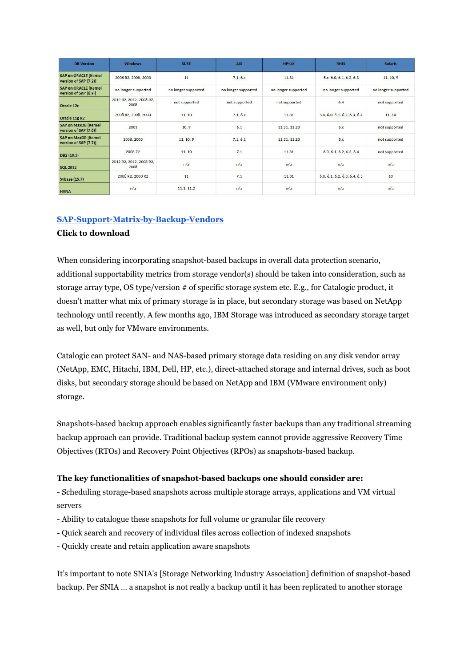| <b>DB</b> Version                                      | <b>Windows</b>                  | <b>SUSE</b>         | <b>AIX</b>          | HP-UX               | <b>RHEL</b>                  | <b>Solaris</b>      |
|--------------------------------------------------------|---------------------------------|---------------------|---------------------|---------------------|------------------------------|---------------------|
| <b>SAP on ORACLE [Kernel]</b><br>version of SAP (7.2)] | 2008 R2, 2008, 2003             | 11                  | 7.1, 6.x            | 11.31               | 5.x, 6.0, 6.1, 6.2, 6.3      | 11, 10, 9           |
| <b>SAP on ORACLE [Kernel</b><br>version of SAP (6.x)]  | no longer supported             | no longer supported | no longer supported | no longer supported | no longer supported          | no longer supported |
| Oracle 12c                                             | 2012 R2, 2012, 2008 R2,<br>2008 | not supported       | not supported       | not supported       | 6.4                          | not supported       |
| Oracle 11g R2                                          | 2008 R2, 2008, 2003             | 11.10               | 7.1.6x              | 11.31               | 5.x, 6.0, 6.1, 6.2, 6.3, 6.4 | 11, 10              |
| <b>SAP on MaxDB [Kernel</b><br>version of SAP (7.6)]   | 2003                            | 10.9                | 6.1                 | 11.31, 11.23        | 5.x                          | not supported       |
| <b>SAP on MaxDB [Kernel</b><br>version of SAP (7.7)]   | 2008, 2003                      | 11, 10, 9           | 7.1.6.1             | 11.31, 11.23        | 5.x                          | not supported       |
| DB2 (10.5)                                             | 2008 R <sub>2</sub>             | 11, 10              | 7.1                 | 11.31               | 6.0, 6.1, 6.2, 6.3, 6.4      | not supported       |
| <b>SQL 2012</b>                                        | 2012 R2, 2012, 2008 R2,<br>2008 | n/a                 | n/a                 | n/a                 | n/a                          | n/a                 |
| <b>Sybase (15.7)</b>                                   | 2008 R2, 2003 R2                | 11                  | 7.1                 | 11.31               | 6.0, 6.1, 6.2, 6.3, 6.4, 6.5 | 10                  |
| <b>HANA</b>                                            | n/a                             | 11.1.11.2           | n/a                 | n/a                 | n/a                          | n/a                 |

## **[SAP-Support-Matrix-by-Backup-Vendors](http://www.backupreview.info/wp-content/uploads/2015/12/SAP-Support-Matrix-by-Backup-Vendors.xlsx)**

#### **Click to download**

When considering incorporating snapshot-based backups in overall data protection scenario, additional supportability metrics from storage vendor(s) should be taken into consideration, such as storage array type, OS type/version # of specific storage system etc. E.g., for Catalogic product, it doesn't matter what mix of primary storage is in place, but secondary storage was based on NetApp technology until recently. A few months ago, IBM Storage was introduced as secondary storage target as well, but only for VMware environments.

Catalogic can protect SAN- and NAS-based primary storage data residing on any disk vendor array (NetApp, EMC, Hitachi, IBM, Dell, HP, etc.), direct-attached storage and internal drives, such as boot disks, but secondary storage should be based on NetApp and IBM (VMware environment only) storage.

Snapshots-based backup approach enables significantly faster backups than any traditional streaming backup approach can provide. Traditional backup system cannot provide aggressive Recovery Time Objectives (RTOs) and Recovery Point Objectives (RPOs) as snapshots-based backup.

## **The key functionalities of snapshot-based backups one should consider are:**

- Scheduling storage-based snapshots across multiple storage arrays, applications and VM virtual servers

- Ability to catalogue these snapshots for full volume or granular file recovery
- Quick search and recovery of individual files across collection of indexed snapshots
- Quickly create and retain application aware snapshots

It's important to note SNIA's [Storage Networking Industry Association] definition of snapshot-based backup. Per SNIA … a snapshot is not really a backup until it has been replicated to another storage